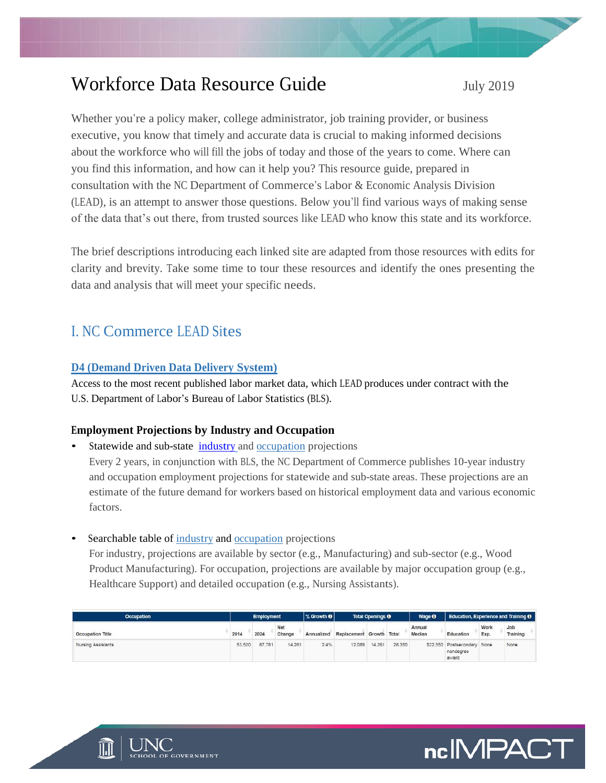# Workforce Data Resource Guide July 2019

Whether you're a policy maker, college administrator, job training provider, or business executive, you know that timely and accurate data is crucial to making informed decisions about the workforce who will fill the jobs of today and those of the years to come. Where can you find this information, and how can it help you? This resource guide, prepared in consultation with the NC Department of Commerce's Labor & Economic Analysis Division (LEAD), is an attempt to answer those questions. Below you'll find various ways of making sense of the data that's out there, from trusted sources like LEAD who know this state and its workforce.

The brief descriptions introducing each linked site are adapted from those resources with edits for clarity and brevity. Take some time to tour these resources and identify the ones presenting the data and analysis that will meet your specific needs.

# I. NC Commerce LEAD Sites

#### **[D4 \(Demand Driven Data Delivery System\)](https://d4.nccommerce.com/)**

Access to the most recent published labor market data, which LEAD produces under contract with the U.S. Department of Labor's Bureau of Labor Statistics (BLS).

#### **Employment Projections by Industry and Occupation**

- Statewide and sub-state [industry](https://www.nccommerce.com/data-tools-reports/labor-market-data-tools/employment-projections#industry-projections) and [occupation](https://www.nccommerce.com/data-tools-reports/labor-market-data-tools/employment-projections#occupational-projections) projections Every 2 years, in conjunction with BLS, the NC Department of Commerce publishes 10-year industry and occupation employment projections for statewide and sub-state areas. These projections are an estimate of the future demand for workers based on historical employment data and various economic factors.
- Searchable table of [industry](https://nccareers.org/employmentprojections/industry_employment_projections.html) an[d occupation](https://nccareers.org/employmentprojections/occupation_employment_projections.html) projections

For industry, projections are available by sector (e.g., Manufacturing) and sub-sector (e.g., Wood Product Manufacturing). For occupation, projections are available by major occupation group (e.g., Healthcare Support) and detailed occupation (e.g., Nursing Assistants).

| <b>Occupation</b>  |        | <b>Employment</b> |               | % Growth <b>O</b> | <b>Total Openings O</b>  |        |        | Wage <sup>O</sup> | Education, Experience and Training O              |              |                 |
|--------------------|--------|-------------------|---------------|-------------------|--------------------------|--------|--------|-------------------|---------------------------------------------------|--------------|-----------------|
| Occupation Title   | 2014   | 2024              | Net<br>Change | Annualized        | Replacement Growth Total |        |        | Annual<br>Median  | Education                                         | Work<br>Exp. | Job<br>Training |
| Nursing Assistants | 53.520 | 67,781            | 14.261        | 2.4%              | 12.089                   | 14.261 | 26.350 |                   | \$22,550 Postsecondary None<br>nondegree<br>award |              | None            |



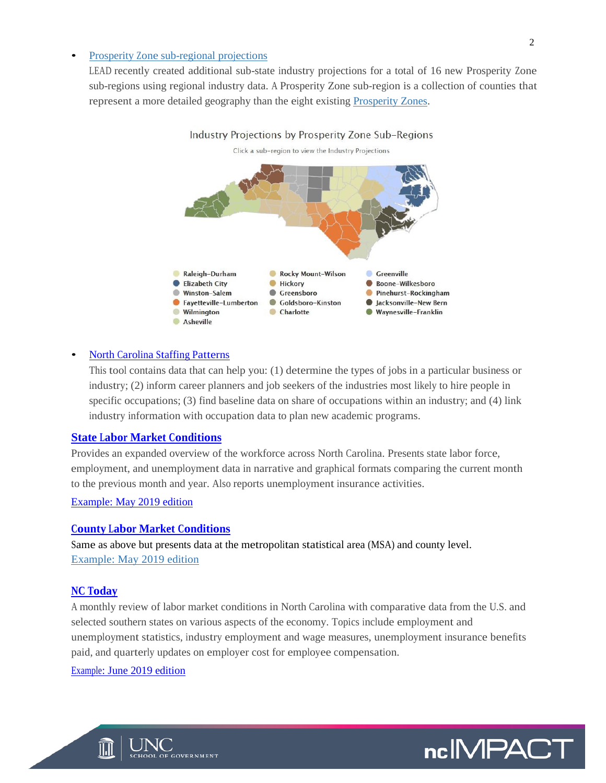#### • Prosperity Zone [sub-regional projections](https://www.nccareers.org/employmentprojections/industry_employment_projections.html)

LEAD recently created additional sub-state industry projections for a total of 16 new Prosperity Zone sub-regions using regional industry data. A Prosperity Zone sub-region is a collection of counties that represent a more detailed geography than the eight existing [Prosperity Zones.](https://www.nccommerce.com/about-our-department/north-carolina-prosperity-zones)



#### • [North Carolina](https://www.nccareers.org/staffingpatterns/staffing_patterns.html) Staffing Patterns

This tool contains data that can help you: (1) determine the types of jobs in a particular business or industry; (2) inform career planners and job seekers of the industries most likely to hire people in specific occupations; (3) find baseline data on share of occupations within an industry; and (4) link industry information with occupation data to plan new academic programs.

#### **State Labor [Market Conditions](https://www.nccommerce.com/document-collection/state-labor-market-conditions)**

Provides an expanded overview of the workforce across North Carolina. Presents state labor force, employment, and unemployment data in narrative and graphical formats comparing the current month to the previous month and year. Also reports unemployment insurance activities.

[Example: May 2019 edition](https://files.nc.gov/nccommerce/documents/LEAD/Labor-Market-Conditions-State/2019_05_LMCstate.pdf)

#### **County Labor [Market Conditions](https://www.nccommerce.com/document-collection/county-labor-market-conditions)**

Same as above but presents data at the metropolitan statistical area (MSA) and county level. [Example: May](https://files.nc.gov/nccommerce/documents/LEAD/Labor-Market-Conditions-County/2019_05_LMCcounty.pdf) 2019 edition

#### **[NC Today](https://www.nccommerce.com/document-collection/nc-today)**

A monthly review of labor market conditions in North Carolina with comparative data from the U.S. and selected southern states on various aspects of the economy. Topics include employment and unemployment statistics, industry employment and wage measures, unemployment insurance benefits paid, and quarterly updates on employer cost for employee compensation.

[Example: June 2019 edition](https://files.nc.gov/nccommerce/documents/LEAD/NC-Today/2019_06_NCToday.pdf)



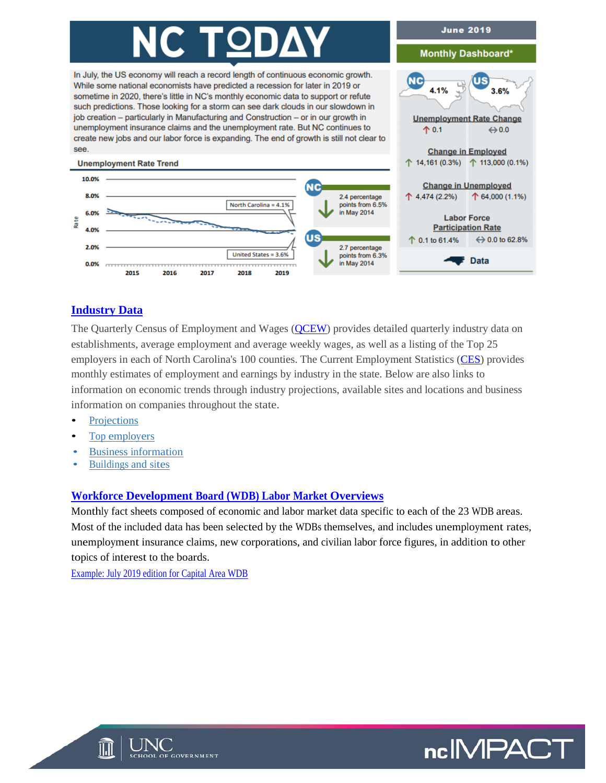# <u>C TOD</u>

In July, the US economy will reach a record length of continuous economic growth. While some national economists have predicted a recession for later in 2019 or sometime in 2020, there's little in NC's monthly economic data to support or refute such predictions. Those looking for a storm can see dark clouds in our slowdown in job creation - particularly in Manufacturing and Construction - or in our growth in unemployment insurance claims and the unemployment rate. But NC continues to create new jobs and our labor force is expanding. The end of growth is still not clear to see.



#### **[Industry Data](https://d4.nccommerce.com/QCEWSelection.aspx)**

The Quarterly Census of Employment and Wages [\(QCEW\)](https://d4.nccommerce.com/QCEWSelection.aspx) provides detailed quarterly industry data on establishments, average employment and average weekly wages, as well as a listing of the Top 25 employers in each of North Carolina's 100 counties. The Current Employment Statistics [\(CES\)](https://d4.nccommerce.com/CesSelection.aspx) provides monthly estimates of employment and earnings by industry in the state. Below are also links to information on economic trends through industry projections, available sites and locations and business information on companies throughout the state.

- **[Projections](https://www.nccareers.org/employmentprojections/industry_employment_projections.html)**
- Top employers
- [Business information](https://www.nccommerce.com/data-tools-reports/business-information-reports#business-search)
- [Buildings and sites](https://www.nccommerce.com/data-tools-reports/business-information-reports#available-sites-&-locations)

#### **[Workforce Development Board \(WDB\) Labor Market Overviews](https://www.nccommerce.com/data-tools-reports/labor-market-data-tools/labor-market-publications#labor-market-overviews-by-workforce-board)**

Monthly fact sheets composed of economic and labor market data specific to each of the 23 WDB areas. Most of the included data has been selected by the WDBs themselves, and includes unemployment rates, unemployment insurance claims, new corporations, and civilian labor force figures, in addition to other topics of interest to the boards.

[Example: July 2019 edition for Capital Area WDB](https://files.nc.gov/nccommerce/documents/LEAD/Labor-Market-Overviews/2019_07_Capital_Area_WDB_Overview.pdf)





3

**June 2019** 

**Monthly Dashboard\*** 

**Unemployment Rate Change** 

 $3.6%$ 

 $\Leftrightarrow$  0.0

**NC** 

个 0.1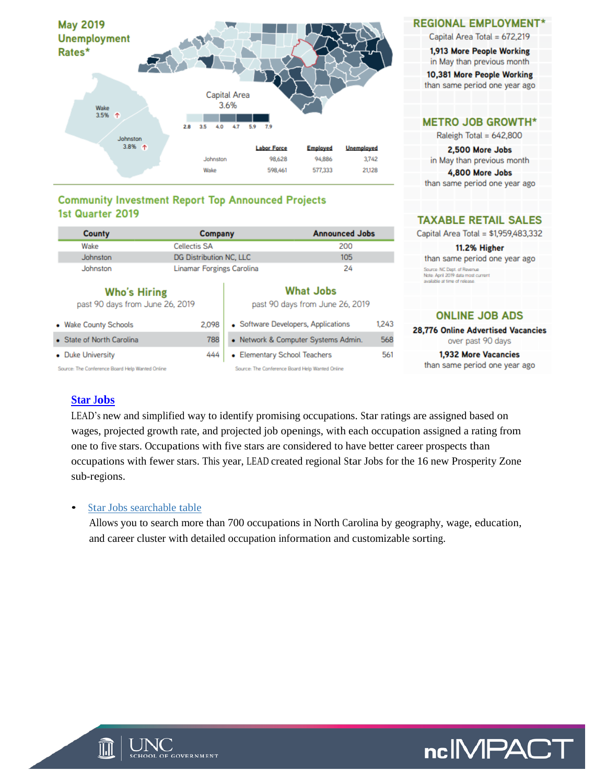

#### **Community Investment Report Top Announced Projects** 1st Quarter 2019

| <b>County</b>                                          | Company                   |                                                     | <b>Announced Jobs</b>               |       |  |  |  |
|--------------------------------------------------------|---------------------------|-----------------------------------------------------|-------------------------------------|-------|--|--|--|
| Wake                                                   | <b>Cellectis SA</b>       |                                                     | 200                                 |       |  |  |  |
| Johnston                                               | DG Distribution NC, LLC   |                                                     | 105                                 |       |  |  |  |
| Johnston                                               | Linamar Forgings Carolina | 24                                                  |                                     |       |  |  |  |
| <b>Who's Hiring</b><br>past 90 days from June 26, 2019 |                           | <b>What Jobs</b><br>past 90 days from June 26, 2019 |                                     |       |  |  |  |
| • Wake County Schools                                  | 2.098                     |                                                     | • Software Developers, Applications | 1,243 |  |  |  |
| • State of North Carolina                              | 788                       |                                                     | · Network & Computer Systems Admin. | 568   |  |  |  |
| • Duke University                                      | 444                       | • Elementary School Teachers                        |                                     | 561   |  |  |  |

Source: The Conference Board Help Wanted Online

|  | • Elementary School Teachers |  |  |  |
|--|------------------------------|--|--|--|
|--|------------------------------|--|--|--|

Source: The Conference Board Help Wanted Online

| REGIONAL EMPLOYMENT |  |  |  |  |  |  |  |  |  |  |  |  |  |  |  |
|---------------------|--|--|--|--|--|--|--|--|--|--|--|--|--|--|--|
|---------------------|--|--|--|--|--|--|--|--|--|--|--|--|--|--|--|

Capital Area Total = 672,219<br>1.913 More People Working

in May than previous month

10,381 More People Working than same period one year ago

#### **METRO JOB GROWTH\***

Raleigh Total = 642,800

2,500 More Jobs in May than previous month 4,800 More Jobs

than same period one year ago

#### **TAXABLE RETAIL SALES**

Capital Area Total = \$1,959,483,332

11.2% Higher than same period one year ago Source: NC Dept. of Revenue Note: April 2019 data most current available at time of release

#### **ONLINE JOB ADS**

28,776 Online Advertised Vacancies over past 90 days

1,932 More Vacancies than same period one year ago

#### **[Star Jobs](https://www.nccareers.org/starjobs/)**

LEAD's new and simplified way to identify promising occupations. Star ratings are assigned based on wages, projected growth rate, and projected job openings, with each occupation assigned a rating from one to five stars. Occupations with five stars are considered to have better career prospects than occupations with fewer stars. This year, LEAD created regional Star Jobs for the 16 new Prosperity Zone sub-regions.

#### Star [Jobs searchable table](https://www.nccareers.org/starjobs/star_jobs.html)

Allows you to search more than 700 occupations in North Carolina by geography, wage, education, and career cluster with detailed occupation information and customizable sorting.



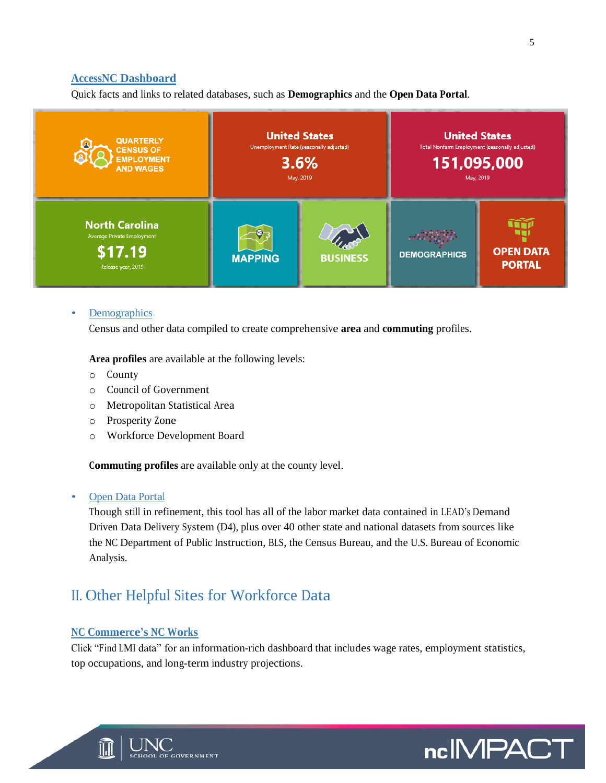#### **[AccessNC Dashboard](https://accessnc.nccommerce.com/)**

Quick facts and links to related databases, such as **Demographics** and the **Open Data Portal**.



#### **[Demographics](https://accessnc.nccommerce.com/DemographicsReports/)**

Census and other data compiled to create comprehensive **area** and **commuting** profiles.

**Area profiles** are available at the following levels:

- o County
- o Council of Government
- o Metropolitan Statistical Area
- o Prosperity Zone
- o Workforce Development Board

**Commuting profiles** are available only at the county level.

#### • [Open Data Portal](https://accessnc.opendatasoft.com/pages/home/)

Though still in refinement, this tool has all of the labor market data contained in LEAD's Demand Driven Data Delivery System (D4), plus over 40 other state and national datasets from sources like the NC Department of Public Instruction, BLS, the Census Bureau, and the U.S. Bureau of Economic Analysis.

### II. Other Helpful Sites for Workforce Data

#### **[NC Commerce's](https://www.ncworks.gov/vosnet/Default.aspx) NC Works**

Click "Find LMI data" for an information-rich dashboard that includes wage rates, employment statistics, top occupations, and long-term industry projections.